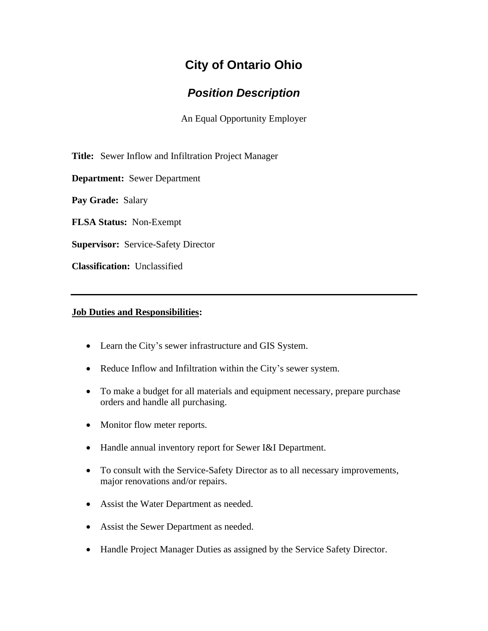# **City of Ontario Ohio**

## *Position Description*

An Equal Opportunity Employer

**Title:** Sewer Inflow and Infiltration Project Manager

**Department:** Sewer Department

**Pay Grade:** Salary

**FLSA Status:** Non-Exempt

**Supervisor:** Service-Safety Director

**Classification:** Unclassified

### **Job Duties and Responsibilities:**

- Learn the City's sewer infrastructure and GIS System.
- Reduce Inflow and Infiltration within the City's sewer system.
- To make a budget for all materials and equipment necessary, prepare purchase orders and handle all purchasing.
- Monitor flow meter reports.
- Handle annual inventory report for Sewer I&I Department.
- To consult with the Service-Safety Director as to all necessary improvements, major renovations and/or repairs.
- Assist the Water Department as needed.
- Assist the Sewer Department as needed.
- Handle Project Manager Duties as assigned by the Service Safety Director.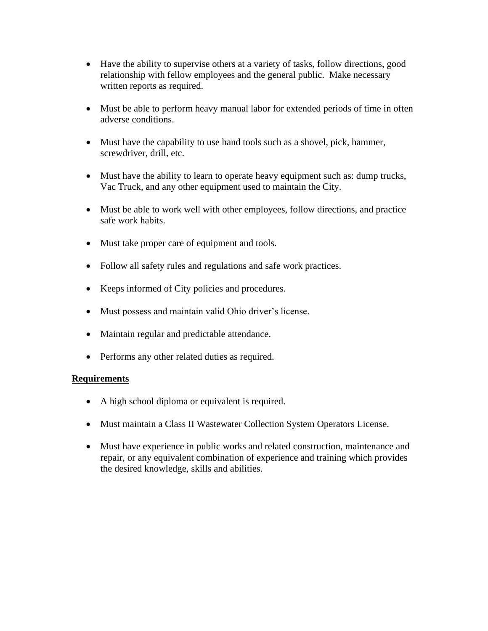- Have the ability to supervise others at a variety of tasks, follow directions, good relationship with fellow employees and the general public. Make necessary written reports as required.
- Must be able to perform heavy manual labor for extended periods of time in often adverse conditions.
- Must have the capability to use hand tools such as a shovel, pick, hammer, screwdriver, drill, etc.
- Must have the ability to learn to operate heavy equipment such as: dump trucks, Vac Truck, and any other equipment used to maintain the City.
- Must be able to work well with other employees, follow directions, and practice safe work habits.
- Must take proper care of equipment and tools.
- Follow all safety rules and regulations and safe work practices.
- Keeps informed of City policies and procedures.
- Must possess and maintain valid Ohio driver's license.
- Maintain regular and predictable attendance.
- Performs any other related duties as required.

### **Requirements**

- A high school diploma or equivalent is required.
- Must maintain a Class II Wastewater Collection System Operators License.
- Must have experience in public works and related construction, maintenance and repair, or any equivalent combination of experience and training which provides the desired knowledge, skills and abilities.